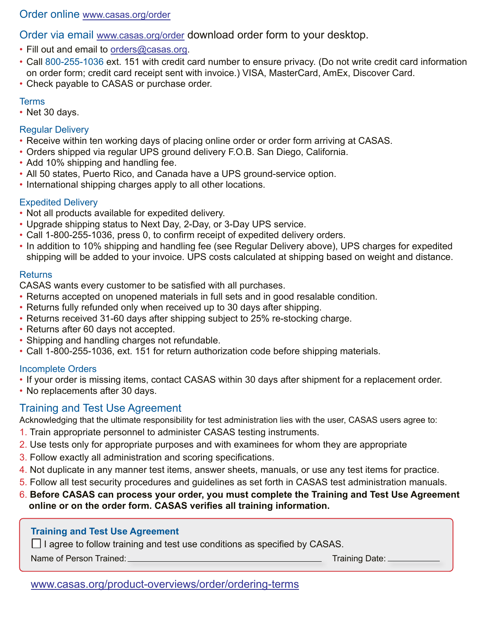#### Order online www.casas.org/order

Order via email www.casas.org/order download order form to your desktop.

- Fill out and email to [orders@casas.org.](mailto:orders@casas.org)
- Call 800-255-1036 ext. 151 with credit card number to ensure privacy. (Do not write credit card information on order form; credit card receipt sent with invoice.) VISA, MasterCard, AmEx, Discover Card.
- Check payable to CASAS or purchase order.

#### Terms

• Net 30 days.

#### Regular Delivery

- Receive within ten working days of placing online order or order form arriving at CASAS.
- Orders shipped via regular UPS ground delivery F.O.B. San Diego, California.
- Add 10% shipping and handling fee.
- All 50 states, Puerto Rico, and Canada have a UPS ground-service option.
- International shipping charges apply to all other locations.

# Expedited Delivery

- Not all products available for expedited delivery.
- Upgrade shipping status to Next Day, 2-Day, or 3-Day UPS service.
- Call 1-800-255-1036, press 0, to confirm receipt of expedited delivery orders.
- In addition to 10% shipping and handling fee (see Regular Delivery above), UPS charges for expedited shipping will be added to your invoice. UPS costs calculated at shipping based on weight and distance.

#### **Returns**

CASAS wants every customer to be satisfied with all purchases.

- Returns accepted on unopened materials in full sets and in good resalable condition.
- Returns fully refunded only when received up to 30 days after shipping.
- Returns received 31-60 days after shipping subject to 25% re-stocking charge.
- Returns after 60 days not accepted.
- Shipping and handling charges not refundable.
- Call 1-800-255-1036, ext. 151 for return authorization code before shipping materials.

## Incomplete Orders

- If your order is missing items, contact CASAS within 30 days after shipment for a replacement order.
- No replacements after 30 days.

# Training and Test Use Agreement

Acknowledging that the ultimate responsibility for test administration lies with the user, CASAS users agree to:

- 1. Train appropriate personnel to administer CASAS testing instruments.
- 2. Use tests only for appropriate purposes and with examinees for whom they are appropriate
- 3. Follow exactly all administration and scoring specifications.
- 4. Not duplicate in any manner test items, answer sheets, manuals, or use any test items for practice.
- 5. Follow all test security procedures and guidelines as set forth in CASAS test administration manuals.
- 6. **Before CASAS can process your order, you must complete the Training and Test Use Agreement online or on the order form. CASAS verifies all training information.**

## **Training and Test Use Agreement**

**□** I agree to follow training and test use conditions as specified by CASAS.

Name of Person Trained: <u>Name of Person Training Cate:</u> Training Date:

## www.casas.org/product-overviews/order/ordering-terms